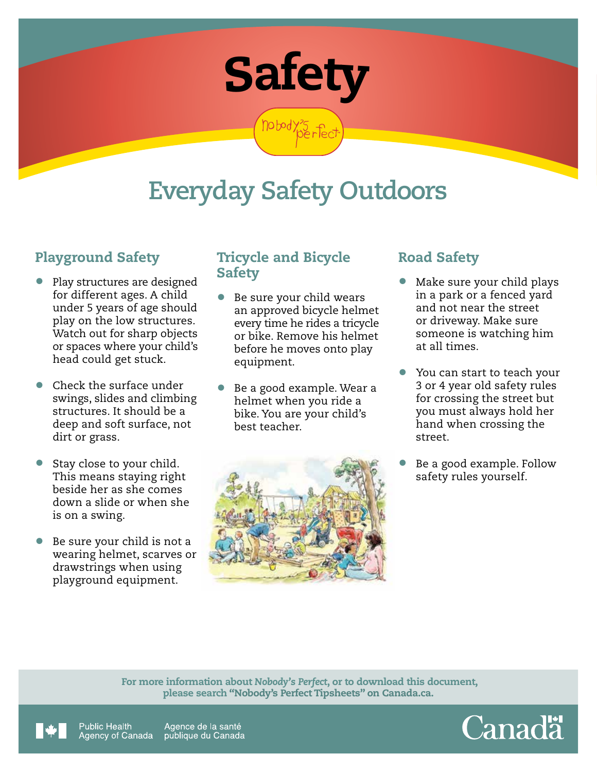

nobody?5 pp

# **Everyday Safety Outdoors**

## Playground Safety

- Play structures are designed for different ages. A child under 5 years of age should play on the low structures. Watch out for sharp objects or spaces where your child's head could get stuck.
- Check the surface under swings, slides and climbing structures. It should be a deep and soft surface, not dirt or grass.
- Stay close to your child. This means staying right beside her as she comes down a slide or when she is on a swing.
- Be sure your child is not a wearing helmet, scarves or drawstrings when using playground equipment.

### Tricycle and Bicycle **Safety**

- Be sure your child wears an approved bicycle helmet every time he rides a tricycle or bike. Remove his helmet before he moves onto play equipment.
- Be a good example. Wear a helmet when you ride a bike. You are your child's best teacher.



## Road Safety

- Make sure your child plays in a park or a fenced yard and not near the street or driveway. Make sure someone is watching him at all times.
- You can start to teach your 3 or 4 year old safety rules for crossing the street but you must always hold her hand when crossing the street.
- Be a good example. Follow safety rules yourself.

 For more information about *Nobody's Perfect*, or to download this document, please search "Nobody's Perfect Tipsheets" on Canada.ca.



Public Health Agence de la santé Agency of Canada publique du Canada